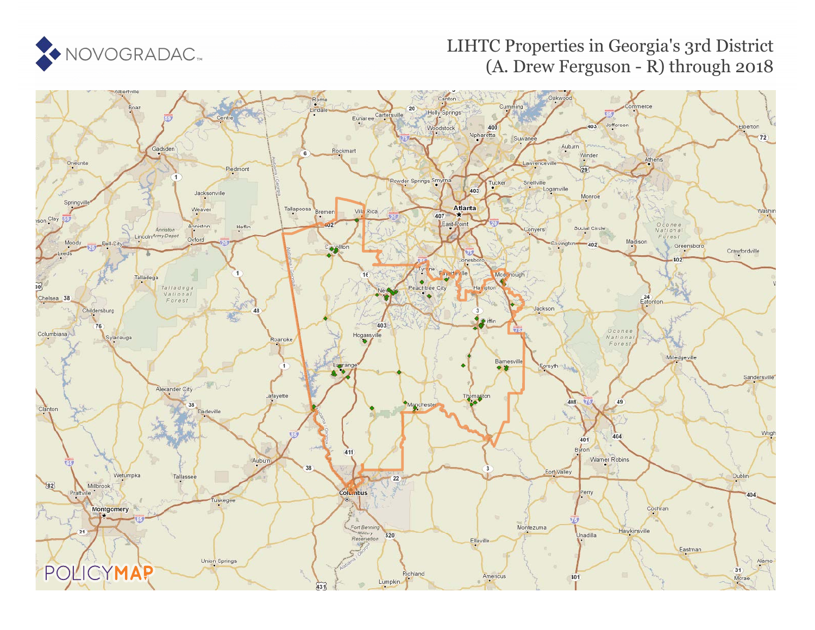

# **LIHTC (1997 to 2017)** LIHTC Properties in Georgia's 3rd District (A. Drew Ferguson - R) [thr](https://www.policymap.com/our-data-directory.html#HUD%20LIHTC)ough 2018

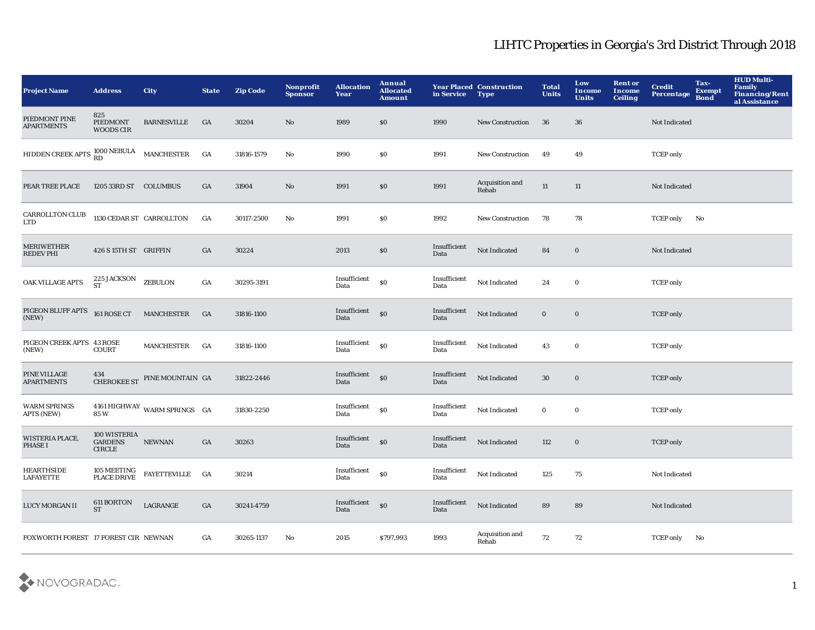| <b>Project Name</b>                                         | <b>Address</b>                                  | <b>City</b>                  | <b>State</b> | <b>Zip Code</b> | <b>Nonprofit</b><br><b>Sponsor</b> | <b>Allocation</b><br>Year | Annual<br><b>Allocated</b><br><b>Amount</b>      | in Service           | <b>Year Placed Construction</b><br><b>Type</b> | <b>Total</b><br><b>Units</b> | Low<br>Income<br><b>Units</b> | <b>Rent or</b><br>Income<br><b>Ceiling</b> | <b>Credit</b><br>Percentage | Tax-<br><b>Exempt</b><br><b>Bond</b> | <b>HUD Multi-</b><br><b>Family<br/>Financing/Rent</b><br>al Assistance |
|-------------------------------------------------------------|-------------------------------------------------|------------------------------|--------------|-----------------|------------------------------------|---------------------------|--------------------------------------------------|----------------------|------------------------------------------------|------------------------------|-------------------------------|--------------------------------------------|-----------------------------|--------------------------------------|------------------------------------------------------------------------|
| PIEDMONT PINE<br><b>APARTMENTS</b>                          | 825<br>PIEDMONT<br><b>WOODS CIR</b>             | <b>BARNESVILLE</b>           | GA           | 30204           | No                                 | 1989                      | \$0                                              | 1990                 | New Construction                               | 36                           | 36                            |                                            | Not Indicated               |                                      |                                                                        |
| HIDDEN CREEK APTS $_{\rm RD}^{1000\,\rm NEBULA}$ MANCHESTER |                                                 |                              | GA           | 31816-1579      | No                                 | 1990                      | S <sub>0</sub>                                   | 1991                 | <b>New Construction</b>                        | 49                           | 49                            |                                            | <b>TCEP</b> only            |                                      |                                                                        |
| PEAR TREE PLACE                                             | 1205 33RD ST COLUMBUS                           |                              | GA           | 31904           | No                                 | 1991                      | \$0                                              | 1991                 | Acquisition and<br>Rehab                       | 11                           | $11\,$                        |                                            | Not Indicated               |                                      |                                                                        |
| CARROLLTON CLUB<br><b>LTD</b>                               | 1130 CEDAR ST CARROLLTON                        |                              | GA           | 30117-2500      | No                                 | 1991                      | \$0                                              | 1992                 | <b>New Construction</b>                        | 78                           | 78                            |                                            | <b>TCEP only</b>            | No                                   |                                                                        |
| <b>MERIWETHER</b><br><b>REDEV PHI</b>                       | 426 S 15TH ST GRIFFIN                           |                              | GA           | 30224           |                                    | 2013                      | \$0                                              | Insufficient<br>Data | Not Indicated                                  | 84                           | $\bf{0}$                      |                                            | Not Indicated               |                                      |                                                                        |
| OAK VILLAGE APTS                                            | $225$ JACKSON ZEBULON ST                        |                              | GA           | 30295-3191      |                                    | Insufficient<br>Data      | \$0                                              | Insufficient<br>Data | Not Indicated                                  | 24                           | $\bf{0}$                      |                                            | <b>TCEP</b> only            |                                      |                                                                        |
| PIGEON BLUFF APTS 161 ROSE CT<br>(NEW)                      |                                                 | <b>MANCHESTER</b>            | GA           | 31816-1100      |                                    | Insufficient<br>Data      | $\$0$                                            | Insufficient<br>Data | Not Indicated                                  | $\bf{0}$                     | $\bf{0}$                      |                                            | <b>TCEP</b> only            |                                      |                                                                        |
| PIGEON CREEK APTS 43 ROSE<br>(NEW)                          | <b>COURT</b>                                    | MANCHESTER                   | GA           | 31816-1100      |                                    | Insufficient<br>Data      | $\bf{S0}$                                        | Insufficient<br>Data | Not Indicated                                  | 43                           | $\bf{0}$                      |                                            | <b>TCEP</b> only            |                                      |                                                                        |
| PINE VILLAGE<br><b>APARTMENTS</b>                           | 434<br><b>CHEROKEE ST</b>                       | PINE MOUNTAIN GA             |              | 31822-2446      |                                    | Insufficient<br>Data      | \$0                                              | Insufficient<br>Data | Not Indicated                                  | 30                           | $\bf{0}$                      |                                            | <b>TCEP</b> only            |                                      |                                                                        |
| <b>WARM SPRINGS</b><br><b>APTS (NEW)</b>                    | 85W                                             | 4161 HIGHWAY WARM SPRINGS GA |              | 31830-2250      |                                    | Insufficient<br>Data      | \$0                                              | Insufficient<br>Data | Not Indicated                                  | $\bf{0}$                     | $\bf{0}$                      |                                            | <b>TCEP</b> only            |                                      |                                                                        |
| WISTERIA PLACE,<br><b>PHASE I</b>                           | 100 WISTERIA<br><b>GARDENS</b><br><b>CIRCLE</b> | NEWNAN                       | GA           | 30263           |                                    | Insufficient<br>Data      | $\boldsymbol{\mathsf{S}}\boldsymbol{\mathsf{O}}$ | Insufficient<br>Data | Not Indicated                                  | 112                          | $\bf{0}$                      |                                            | <b>TCEP</b> only            |                                      |                                                                        |
| <b>HEARTHSIDE</b><br><b>LAFAYETTE</b>                       | 105 MEETING<br><b>PLACE DRIVE</b>               | <b>FAYETTEVILLE</b>          | GA           | 30214           |                                    | Insufficient<br>Data      | \$0                                              | Insufficient<br>Data | Not Indicated                                  | 125                          | 75                            |                                            | Not Indicated               |                                      |                                                                        |
| LUCY MORGAN II                                              | 611 BORTON<br><b>ST</b>                         | LAGRANGE                     | GA           | 30241-4759      |                                    | Insufficient<br>Data      | \$0                                              | Insufficient<br>Data | Not Indicated                                  | 89                           | 89                            |                                            | Not Indicated               |                                      |                                                                        |
| FOXWORTH FOREST 17 FOREST CIR NEWNAN                        |                                                 |                              | GA           | 30265-1137      | No                                 | 2015                      | \$797,993                                        | 1993                 | Acquisition and<br>Rehab                       | 72                           | 72                            |                                            | <b>TCEP only</b>            | No                                   |                                                                        |

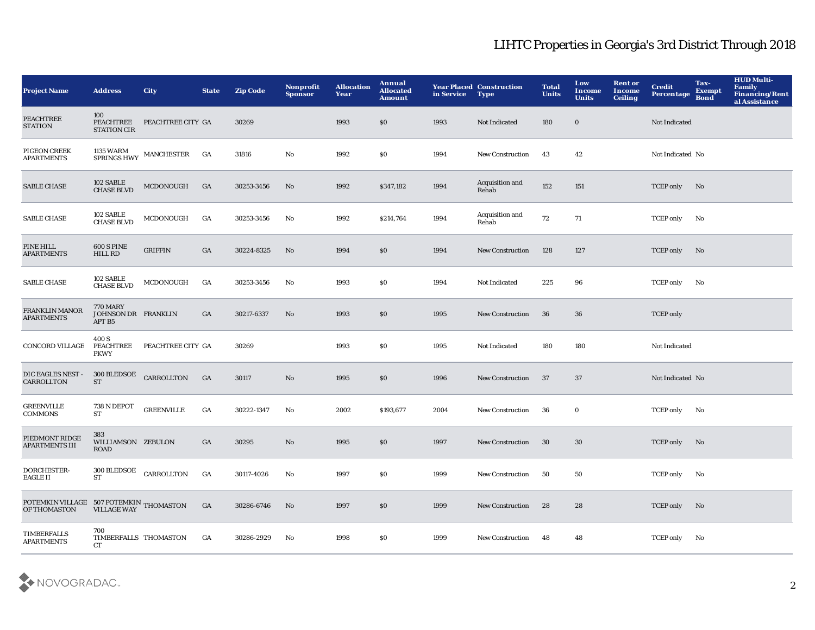| <b>Project Name</b>                                                                                                                                  | <b>Address</b>                                   | <b>City</b>                                 | <b>State</b>     | <b>Zip Code</b> | Nonprofit<br><b>Sponsor</b> | <b>Allocation</b><br>Year | Annual<br><b>Allocated</b><br>Amount | in Service | <b>Year Placed Construction</b><br><b>Type</b> | <b>Total</b><br><b>Units</b> | Low<br>Income<br><b>Units</b> | <b>Rent or</b><br>Income<br><b>Ceiling</b> | <b>Credit</b><br><b>Percentage</b> | Tax-<br><b>Exempt</b><br><b>Bond</b> | <b>HUD Multi-</b><br>Family<br>Financing/Rent<br>al Assistance |
|------------------------------------------------------------------------------------------------------------------------------------------------------|--------------------------------------------------|---------------------------------------------|------------------|-----------------|-----------------------------|---------------------------|--------------------------------------|------------|------------------------------------------------|------------------------------|-------------------------------|--------------------------------------------|------------------------------------|--------------------------------------|----------------------------------------------------------------|
| <b>PEACHTREE</b><br><b>STATION</b>                                                                                                                   | 100<br>PEACHTREE<br><b>STATION CIR</b>           | PEACHTREE CITY GA                           |                  | 30269           |                             | 1993                      | \$0\$                                | 1993       | Not Indicated                                  | 180                          | $\bf{0}$                      |                                            | Not Indicated                      |                                      |                                                                |
| PIGEON CREEK<br><b>APARTMENTS</b>                                                                                                                    |                                                  | $1135~\mathrm{WARM}$ MANCHESTER SPRINGS HWY | GA               | 31816           | No                          | 1992                      | \$0                                  | 1994       | <b>New Construction</b>                        | 43                           | 42                            |                                            | Not Indicated No                   |                                      |                                                                |
| <b>SABLE CHASE</b>                                                                                                                                   | 102 SABLE<br><b>CHASE BLVD</b>                   | MCDONOUGH                                   | GA               | 30253-3456      | No                          | 1992                      | \$347,182                            | 1994       | Acquisition and<br>Rehab                       | 152                          | 151                           |                                            | TCEP only                          | No                                   |                                                                |
| <b>SABLE CHASE</b>                                                                                                                                   | 102 SABLE<br><b>CHASE BLVD</b>                   | MCDONOUGH                                   | GA               | 30253-3456      | No                          | 1992                      | \$214,764                            | 1994       | Acquisition and<br>Rehab                       | 72                           | 71                            |                                            | <b>TCEP</b> only                   | No                                   |                                                                |
| PINE HILL<br><b>APARTMENTS</b>                                                                                                                       | <b>600 S PINE</b><br><b>HILL RD</b>              | <b>GRIFFIN</b>                              | GA               | 30224-8325      | No                          | 1994                      | \$0                                  | 1994       | <b>New Construction</b>                        | 128                          | 127                           |                                            | <b>TCEP</b> only                   | No                                   |                                                                |
| <b>SABLE CHASE</b>                                                                                                                                   | 102 SABLE<br><b>CHASE BLVD</b>                   | MCDONOUGH                                   | GA               | 30253-3456      | No                          | 1993                      | \$0\$                                | 1994       | Not Indicated                                  | 225                          | 96                            |                                            | <b>TCEP</b> only                   | No                                   |                                                                |
| <b>FRANKLIN MANOR</b><br><b>APARTMENTS</b>                                                                                                           | <b>770 MARY</b><br>JOHNSON DR FRANKLIN<br>APT B5 |                                             | GA               | 30217-6337      | No                          | 1993                      | \$0                                  | 1995       | <b>New Construction</b>                        | 36                           | 36                            |                                            | <b>TCEP</b> only                   |                                      |                                                                |
| <b>CONCORD VILLAGE</b>                                                                                                                               | 400 S<br>PEACHTREE<br><b>PKWY</b>                | PEACHTREE CITY GA                           |                  | 30269           |                             | 1993                      | \$0\$                                | 1995       | Not Indicated                                  | 180                          | 180                           |                                            | Not Indicated                      |                                      |                                                                |
| DIC EAGLES NEST -<br>CARROLLTON                                                                                                                      | <b>ST</b>                                        | $300$ BLEDSOE $\quad$ CARROLLTON            | GA               | 30117           | No                          | 1995                      | \$0                                  | 1996       | <b>New Construction</b>                        | 37                           | 37                            |                                            | Not Indicated No                   |                                      |                                                                |
| <b>GREENVILLE</b><br><b>COMMONS</b>                                                                                                                  | 738 N DEPOT<br><b>ST</b>                         | <b>GREENVILLE</b>                           | $_{\mathrm{GA}}$ | 30222-1347      | No                          | 2002                      | \$193,677                            | 2004       | <b>New Construction</b>                        | 36                           | $\bf{0}$                      |                                            | <b>TCEP</b> only                   | No                                   |                                                                |
| PIEDMONT RIDGE<br><b>APARTMENTS III</b>                                                                                                              | 383<br>WILLIAMSON ZEBULON<br><b>ROAD</b>         |                                             | GA               | 30295           | No                          | 1995                      | \$0                                  | 1997       | <b>New Construction</b>                        | 30                           | 30                            |                                            | <b>TCEP</b> only                   | No                                   |                                                                |
| DORCHESTER-<br><b>EAGLE II</b>                                                                                                                       | $300\,$ BLEDSOE<br><b>ST</b>                     | CARROLLTON                                  | GA               | 30117-4026      | No                          | 1997                      | $\$0$                                | 1999       | <b>New Construction</b>                        | 50                           | 50                            |                                            | <b>TCEP</b> only                   | No                                   |                                                                |
| $\begin{tabular}{ll} \bf \textit{POTEMKIN VILLAGE} & 507 \, \textit{POTEMKIN} \end{tabular} \begin{tabular}{ll} \bf \textit{HOMASTON} \end{tabular}$ |                                                  |                                             | GA               | 30286-6746      | No                          | 1997                      | \$0                                  | 1999       | <b>New Construction</b>                        | 28                           | 28                            |                                            | <b>TCEP</b> only                   | No                                   |                                                                |
| TIMBERFALLS<br><b>APARTMENTS</b>                                                                                                                     | 700<br>TIMBERFALLS THOMASTON<br>CT               |                                             | GA               | 30286-2929      | No                          | 1998                      | \$0                                  | 1999       | <b>New Construction</b>                        | 48                           | 48                            |                                            | <b>TCEP only</b>                   | No                                   |                                                                |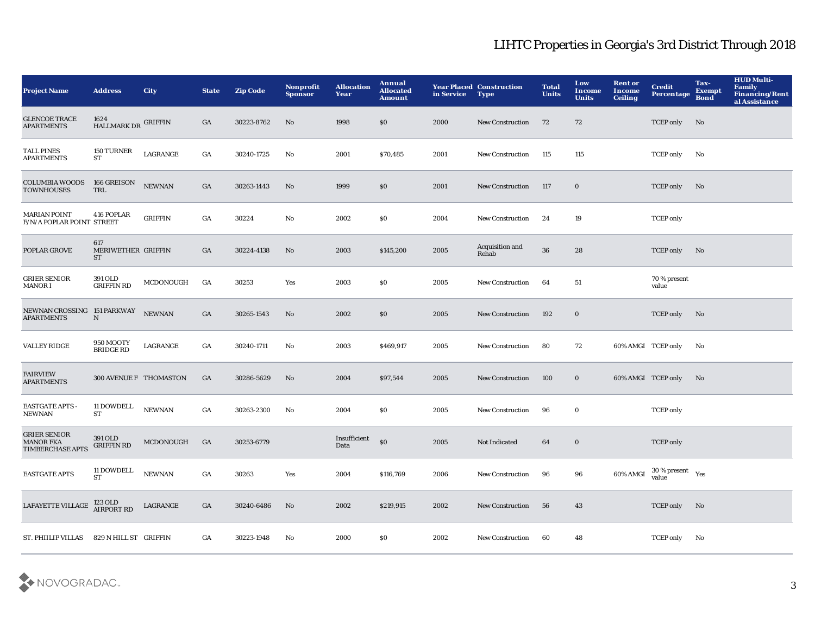| <b>Project Name</b>                                                | <b>Address</b>                       | <b>City</b>    | <b>State</b>     | <b>Zip Code</b> | <b>Nonprofit</b><br><b>Sponsor</b> | <b>Allocation</b><br>Year | Annual<br><b>Allocated</b><br><b>Amount</b> | in Service | <b>Year Placed Construction</b><br><b>Type</b> | <b>Total</b><br><b>Units</b> | Low<br><b>Income</b><br><b>Units</b> | <b>Rent or</b><br>Income<br><b>Ceiling</b> | <b>Credit</b><br><b>Percentage</b>             | Tax-<br><b>Exempt</b><br><b>Bond</b> | <b>HUD Multi-</b><br>Family<br>Financing/Rent<br>al Assistance |
|--------------------------------------------------------------------|--------------------------------------|----------------|------------------|-----------------|------------------------------------|---------------------------|---------------------------------------------|------------|------------------------------------------------|------------------------------|--------------------------------------|--------------------------------------------|------------------------------------------------|--------------------------------------|----------------------------------------------------------------|
| <b>GLENCOE TRACE</b><br><b>APARTMENTS</b>                          | 1624<br>HALLMARK DR GRIFFIN          |                | GA               | 30223-8762      | No                                 | 1998                      | \$0\$                                       | 2000       | <b>New Construction</b>                        | 72                           | 72                                   |                                            | <b>TCEP</b> only                               | No                                   |                                                                |
| <b>TALL PINES</b><br><b>APARTMENTS</b>                             | 150 TURNER<br><b>ST</b>              | LAGRANGE       | GA               | 30240-1725      | $\mathbf{No}$                      | 2001                      | \$70,485                                    | 2001       | New Construction                               | 115                          | 115                                  |                                            | <b>TCEP</b> only                               | No                                   |                                                                |
| <b>COLUMBIA WOODS</b><br><b>TOWNHOUSES</b>                         | 166 GREISON<br>TRL                   | ${\bf NEWNAN}$ | GA               | 30263-1443      | No                                 | 1999                      | \$0                                         | 2001       | New Construction                               | 117                          | $\bf{0}$                             |                                            | <b>TCEP only</b>                               | No                                   |                                                                |
| <b>MARIAN POINT</b><br>F/N/A POPLAR POINT STREET                   | 416 POPLAR                           | <b>GRIFFIN</b> | GA               | 30224           | No                                 | 2002                      | \$0\$                                       | 2004       | New Construction                               | 24                           | 19                                   |                                            | <b>TCEP</b> only                               |                                      |                                                                |
| POPLAR GROVE                                                       | 617<br>MERIWETHER GRIFFIN<br>ST      |                | GA               | 30224-4138      | No                                 | 2003                      | \$145,200                                   | 2005       | Acquisition and<br>Rehab                       | ${\bf 36}$                   | 28                                   |                                            | <b>TCEP</b> only                               | No                                   |                                                                |
| <b>GRIER SENIOR</b><br>MANOR I                                     | 391 OLD<br><b>GRIFFIN RD</b>         | MCDONOUGH      | GA               | 30253           | Yes                                | 2003                      | \$0                                         | 2005       | <b>New Construction</b>                        | 64                           | 51                                   |                                            | 70 % present<br>value                          |                                      |                                                                |
| NEWNAN CROSSING 151 PARKWAY<br><b>APARTMENTS</b>                   | $\mathbf N$                          | <b>NEWNAN</b>  | GA               | 30265-1543      | No                                 | 2002                      | \$0                                         | 2005       | <b>New Construction</b>                        | 192                          | $\bf{0}$                             |                                            | <b>TCEP</b> only                               | No                                   |                                                                |
| <b>VALLEY RIDGE</b>                                                | <b>950 MOOTY</b><br><b>BRIDGE RD</b> | LAGRANGE       | $_{\mathrm{GA}}$ | 30240-1711      | No                                 | 2003                      | \$469,917                                   | 2005       | <b>New Construction</b>                        | 80                           | 72                                   | 60% AMGI TCEP only                         |                                                | No                                   |                                                                |
| <b>FAIRVIEW</b><br><b>APARTMENTS</b>                               | 300 AVENUE F THOMASTON               |                | GA               | 30286-5629      | No                                 | 2004                      | \$97,544                                    | 2005       | <b>New Construction</b>                        | 100                          | $\bf{0}$                             | 60% AMGI TCEP only                         |                                                | No                                   |                                                                |
| <b>EASTGATE APTS -</b><br>${\bf NEWNAN}$                           | 11 DOWDELL<br>ST                     | <b>NEWNAN</b>  | GA               | 30263-2300      | No                                 | 2004                      | \$0                                         | 2005       | <b>New Construction</b>                        | 96                           | $\bf{0}$                             |                                            | <b>TCEP</b> only                               |                                      |                                                                |
| <b>GRIER SENIOR</b><br><b>MANOR FKA</b><br><b>TIMBERCHASE APTS</b> | 391 OLD<br><b>GRIFFIN RD</b>         | MCDONOUGH      | GA               | 30253-6779      |                                    | Insufficient<br>Data      | \$0                                         | 2005       | Not Indicated                                  | 64                           | $\bf{0}$                             |                                            | <b>TCEP</b> only                               |                                      |                                                                |
| <b>EASTGATE APTS</b>                                               | 11 DOWDELL<br><b>ST</b>              | <b>NEWNAN</b>  | GA               | 30263           | Yes                                | 2004                      | \$116,769                                   | 2006       | <b>New Construction</b>                        | 96                           | 96                                   | 60% AMGI                                   | $30\,\%$ present $\quad$ $_{\rm Yes}$<br>value |                                      |                                                                |
| LAFAYETTE VILLAGE                                                  | 123 OLD<br><b>AIRPORT RD</b>         | LAGRANGE       | GA               | 30240-6486      | No                                 | 2002                      | \$219,915                                   | 2002       | <b>New Construction</b>                        | 56                           | 43                                   |                                            | <b>TCEP</b> only                               | No                                   |                                                                |
| ST. PHIILIP VILLAS                                                 | 829 N HILL ST GRIFFIN                |                | GA               | 30223-1948      | No                                 | 2000                      | \$0                                         | 2002       | <b>New Construction</b>                        | 60                           | 48                                   |                                            | <b>TCEP</b> only                               | No                                   |                                                                |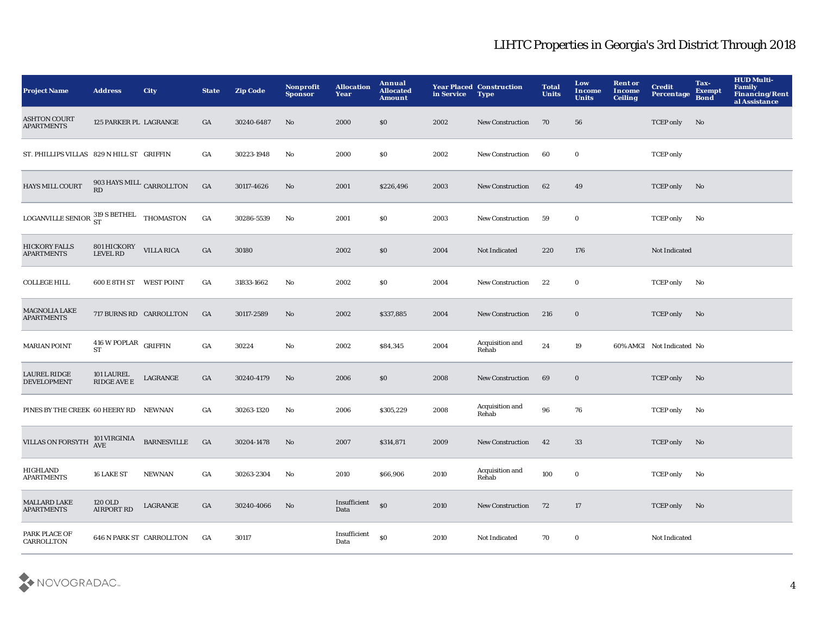| <b>Project Name</b>                                | <b>Address</b>                            | City                            | <b>State</b> | <b>Zip Code</b> | <b>Nonprofit</b><br><b>Sponsor</b> | <b>Allocation</b><br>Year | Annual<br><b>Allocated</b><br><b>Amount</b> | in Service | <b>Year Placed Construction</b><br><b>Type</b> | <b>Total</b><br><b>Units</b> | Low<br>Income<br><b>Units</b> | <b>Rent or</b><br>Income<br><b>Ceiling</b> | <b>Credit</b><br><b>Percentage</b> | Tax-<br><b>Exempt</b><br><b>Bond</b> | <b>HUD Multi-</b><br><b>Family<br/>Financing/Rent</b><br>al Assistance |
|----------------------------------------------------|-------------------------------------------|---------------------------------|--------------|-----------------|------------------------------------|---------------------------|---------------------------------------------|------------|------------------------------------------------|------------------------------|-------------------------------|--------------------------------------------|------------------------------------|--------------------------------------|------------------------------------------------------------------------|
| <b>ASHTON COURT</b><br><b>APARTMENTS</b>           | 125 PARKER PL LAGRANGE                    |                                 | GA           | 30240-6487      | No                                 | 2000                      | \$0                                         | 2002       | <b>New Construction</b>                        | 70                           | 56                            |                                            | <b>TCEP</b> only                   | No                                   |                                                                        |
| ST. PHILLIPS VILLAS 829 N HILL ST GRIFFIN          |                                           |                                 | GA           | 30223-1948      | No                                 | 2000                      | \$0                                         | 2002       | <b>New Construction</b>                        | 60                           | $\bf{0}$                      |                                            | <b>TCEP</b> only                   |                                      |                                                                        |
| <b>HAYS MILL COURT</b>                             | $903$ HAYS MILL $_{\rm CARROLLTON}$<br>RD |                                 | GA           | 30117-4626      | No                                 | 2001                      | \$226,496                                   | 2003       | New Construction                               | 62                           | 49                            |                                            | <b>TCEP</b> only                   | No                                   |                                                                        |
| LOGANVILLE SENIOR $^{319}_{ST}$ S BETHEL THOMASTON |                                           |                                 | GA           | 30286-5539      | No                                 | 2001                      | $\$0$                                       | 2003       | New Construction                               | 59                           | $\mathbf 0$                   |                                            | <b>TCEP only</b>                   | No                                   |                                                                        |
| <b>HICKORY FALLS</b><br><b>APARTMENTS</b>          | 801 HICKORY VILLA RICA<br>LEVEL RD        |                                 | GA           | 30180           |                                    | 2002                      | \$0                                         | 2004       | Not Indicated                                  | 220                          | 176                           |                                            | Not Indicated                      |                                      |                                                                        |
| <b>COLLEGE HILL</b>                                | 600 E 8TH ST WEST POINT                   |                                 | GA           | 31833-1662      | No                                 | 2002                      | \$0\$                                       | 2004       | <b>New Construction</b>                        | 22                           | $\bf{0}$                      |                                            | <b>TCEP only</b>                   | No                                   |                                                                        |
| <b>MAGNOLIA LAKE</b><br><b>APARTMENTS</b>          |                                           | 717 BURNS RD CARROLLTON         | GA           | 30117-2589      | No                                 | 2002                      | \$337,885                                   | 2004       | <b>New Construction</b>                        | 216                          | $\bf{0}$                      |                                            | <b>TCEP only</b>                   | No                                   |                                                                        |
| <b>MARIAN POINT</b>                                | $416$ W POPLAR $\,$ GRIFFIN<br><b>ST</b>  |                                 | GA           | 30224           | No                                 | 2002                      | \$84,345                                    | 2004       | <b>Acquisition and</b><br>Rehab                | 24                           | 19                            |                                            | 60% AMGI Not Indicated No          |                                      |                                                                        |
| <b>LAUREL RIDGE</b><br><b>DEVELOPMENT</b>          | 101 LAUREL<br><b>RIDGE AVE E</b>          | LAGRANGE                        | GA           | 30240-4179      | No                                 | 2006                      | \$0                                         | 2008       | <b>New Construction</b>                        | 69                           | $\bf{0}$                      |                                            | <b>TCEP</b> only                   | No                                   |                                                                        |
| PINES BY THE CREEK 60 HEERY RD NEWNAN              |                                           |                                 | GA           | 30263-1320      | No                                 | 2006                      | \$305,229                                   | 2008       | Acquisition and<br>Rehab                       | 96                           | 76                            |                                            | <b>TCEP only</b>                   | No                                   |                                                                        |
| <b>VILLAS ON FORSYTH</b>                           | 101 VIRGINIA<br>AVE                       | <b>BARNESVILLE</b>              | GA           | 30204-1478      | No                                 | 2007                      | \$314,871                                   | 2009       | New Construction                               | 42                           | 33                            |                                            | <b>TCEP only</b>                   | No                                   |                                                                        |
| <b>HIGHLAND</b><br><b>APARTMENTS</b>               | 16 LAKE ST                                | <b>NEWNAN</b>                   | GA           | 30263-2304      | No                                 | 2010                      | \$66,906                                    | 2010       | Acquisition and<br>Rehab                       | 100                          | $\mathbf 0$                   |                                            | <b>TCEP only</b>                   | No                                   |                                                                        |
| <b>MALLARD LAKE</b><br><b>APARTMENTS</b>           | <b>120 OLD</b><br><b>AIRPORT RD</b>       | LAGRANGE                        | GA           | 30240-4066      | No                                 | Insufficient<br>Data      | $\$0$                                       | 2010       | <b>New Construction</b>                        | 72                           | 17                            |                                            | <b>TCEP only</b>                   | No                                   |                                                                        |
| PARK PLACE OF<br>CARROLLTON                        |                                           | <b>646 N PARK ST CARROLLTON</b> | GA           | 30117           |                                    | Insufficient<br>Data      | <sub>so</sub>                               | 2010       | Not Indicated                                  | 70                           | $\bf{0}$                      |                                            | Not Indicated                      |                                      |                                                                        |

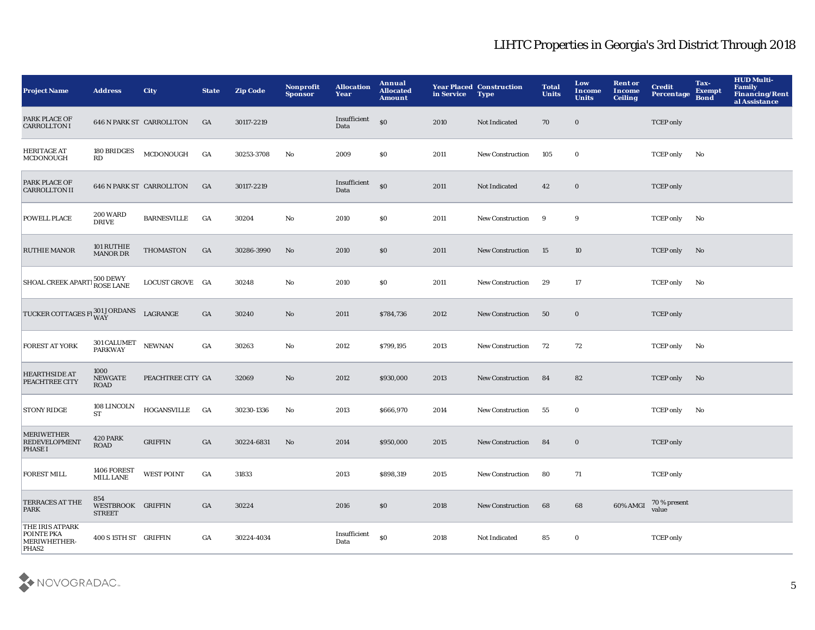| <b>Project Name</b>                                                | <b>Address</b>                            | <b>City</b>                     | <b>State</b>     | <b>Zip Code</b> | Nonprofit<br><b>Sponsor</b> | <b>Allocation</b><br>Year | Annual<br><b>Allocated</b><br><b>Amount</b> | in Service | <b>Year Placed Construction</b><br>Type | <b>Total</b><br><b>Units</b> | Low<br><b>Income</b><br><b>Units</b> | <b>Rent or</b><br>Income<br><b>Ceiling</b> | <b>Credit</b><br>Percentage | Tax-<br><b>Exempt</b><br><b>Bond</b> | <b>HUD Multi-</b><br>Family<br>Financing/Rent<br>al Assistance |
|--------------------------------------------------------------------|-------------------------------------------|---------------------------------|------------------|-----------------|-----------------------------|---------------------------|---------------------------------------------|------------|-----------------------------------------|------------------------------|--------------------------------------|--------------------------------------------|-----------------------------|--------------------------------------|----------------------------------------------------------------|
| PARK PLACE OF<br><b>CARROLLTON I</b>                               |                                           | <b>646 N PARK ST CARROLLTON</b> | GA               | 30117-2219      |                             | Insufficient<br>Data      | \$0                                         | 2010       | Not Indicated                           | 70                           | $\mathbf 0$                          |                                            | <b>TCEP</b> only            |                                      |                                                                |
| <b>HERITAGE AT</b><br>MCDONOUGH                                    | $180\, \mathrm{BRIDGES}$<br>RD            | MCDONOUGH                       | GA               | 30253-3708      | No                          | 2009                      | \$0                                         | 2011       | <b>New Construction</b>                 | 105                          | $\bf{0}$                             |                                            | <b>TCEP</b> only            | No                                   |                                                                |
| PARK PLACE OF<br><b>CARROLLTON II</b>                              |                                           | <b>646 N PARK ST CARROLLTON</b> | GA               | 30117-2219      |                             | Insufficient<br>Data      | SO <sub>2</sub>                             | 2011       | Not Indicated                           | 42                           | $\bf{0}$                             |                                            | <b>TCEP</b> only            |                                      |                                                                |
| POWELL PLACE                                                       | <b>200 WARD</b><br><b>DRIVE</b>           | <b>BARNESVILLE</b>              | GA               | 30204           | No                          | 2010                      | \$0                                         | 2011       | <b>New Construction</b>                 | 9                            | 9                                    |                                            | <b>TCEP</b> only            | No                                   |                                                                |
| <b>RUTHIE MANOR</b>                                                | 101 RUTHIE<br>MANOR DR                    | THOMASTON                       | GA               | 30286-3990      | No                          | 2010                      | \$0                                         | 2011       | <b>New Construction</b>                 | 15                           | 10                                   |                                            | <b>TCEP</b> only            | No                                   |                                                                |
| SHOAL CREEK APARTI 500 DEWY                                        |                                           | LOCUST GROVE GA                 |                  | 30248           | No                          | 2010                      | \$0                                         | 2011       | <b>New Construction</b>                 | 29                           | 17                                   |                                            | <b>TCEP</b> only            | No                                   |                                                                |
| TUCKER COTTAGES FI WAY                                             |                                           | LAGRANGE                        | GA               | 30240           | No                          | 2011                      | \$784,736                                   | 2012       | <b>New Construction</b>                 | 50                           | $\bf{0}$                             |                                            | <b>TCEP</b> only            |                                      |                                                                |
| FOREST AT YORK                                                     | 301 CALUMET<br><b>PARKWAY</b>             | <b>NEWNAN</b>                   | $_{\mathrm{GA}}$ | 30263           | No                          | 2012                      | \$799,195                                   | 2013       | <b>New Construction</b>                 | 72                           | 72                                   |                                            | <b>TCEP only</b>            | No                                   |                                                                |
| <b>HEARTHSIDE AT</b><br>PEACHTREE CITY                             | 1000<br><b>NEWGATE</b><br>ROAD            | PEACHTREE CITY GA               |                  | 32069           | No                          | 2012                      | \$930,000                                   | 2013       | <b>New Construction</b>                 | 84                           | 82                                   |                                            | <b>TCEP only</b>            | No                                   |                                                                |
| STONY RIDGE                                                        | 108 LINCOLN<br><b>ST</b>                  | <b>HOGANSVILLE</b>              | GA               | 30230-1336      | No                          | 2013                      | \$666,970                                   | 2014       | <b>New Construction</b>                 | 55                           | 0                                    |                                            | <b>TCEP</b> only            | No                                   |                                                                |
| <b>MERIWETHER</b><br><b>REDEVELOPMENT</b><br><b>PHASE I</b>        | 420 PARK<br>ROAD                          | <b>GRIFFIN</b>                  | GA               | 30224-6831      | No                          | 2014                      | \$950,000                                   | 2015       | <b>New Construction</b>                 | 84                           | $\bf{0}$                             |                                            | <b>TCEP</b> only            |                                      |                                                                |
| <b>FOREST MILL</b>                                                 | 1406 FOREST<br><b>MILL LANE</b>           | <b>WEST POINT</b>               | GA               | 31833           |                             | 2013                      | \$898,319                                   | 2015       | <b>New Construction</b>                 | 80                           | 71                                   |                                            | <b>TCEP</b> only            |                                      |                                                                |
| TERRACES AT THE<br>PARK                                            | 854<br>WESTBROOK GRIFFIN<br><b>STREET</b> |                                 | GA               | 30224           |                             | 2016                      | \$0                                         | 2018       | <b>New Construction</b>                 | 68                           | 68                                   | 60% AMGI                                   | 70 % present<br>value       |                                      |                                                                |
| THE IRIS ATPARK<br>POINTE PKA<br>MERIWHETHER-<br>PHAS <sub>2</sub> | 400 S 15TH ST GRIFFIN                     |                                 | GA               | 30224-4034      |                             | Insufficient<br>Data      | <sub>so</sub>                               | 2018       | <b>Not Indicated</b>                    | 85                           | $\mathbf 0$                          |                                            | <b>TCEP</b> only            |                                      |                                                                |